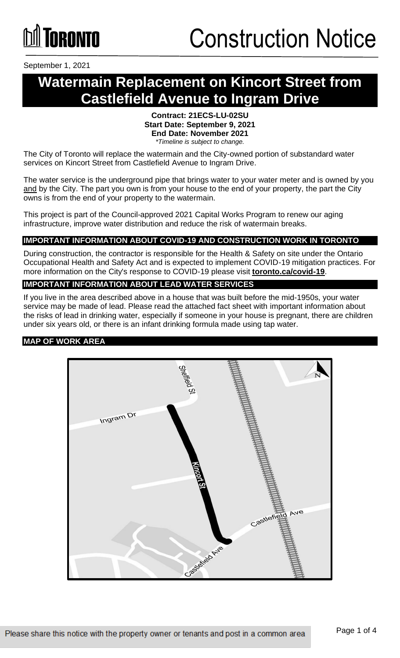September 1, 2021

### **Watermain Replacement on Kincort Street from Castlefield Avenue to Ingram Drive**

#### **Contract: 21ECS-LU-02SU Start Date: September 9, 2021 End Date: November 2021** *\*Timeline is subject to change.*

The City of Toronto will replace the watermain and the City-owned portion of substandard water services on Kincort Street from Castlefield Avenue to Ingram Drive.

The water service is the underground pipe that brings water to your water meter and is owned by you and by the City. The part you own is from your house to the end of your property, the part the City owns is from the end of your property to the watermain.

This project is part of the Council-approved 2021 Capital Works Program to renew our aging infrastructure, improve water distribution and reduce the risk of watermain breaks.

#### **IMPORTANT INFORMATION ABOUT COVID-19 AND CONSTRUCTION WORK IN TORONTO**

During construction, the contractor is responsible for the Health & Safety on site under the Ontario Occupational Health and Safety Act and is expected to implement COVID-19 mitigation practices. For more information on the City's response to COVID-19 please visit **[toronto.ca/covid-19](http://www.toronto.ca/covid-19)**.

#### **IMPORTANT INFORMATION ABOUT LEAD WATER SERVICES**

If you live in the area described above in a house that was built before the mid-1950s, your water service may be made of lead. Please read the attached fact sheet with important information about the risks of lead in drinking water, especially if someone in your house is pregnant, there are children under six years old, or there is an infant drinking formula made using tap water.

#### **MAP OF WORK AREA**

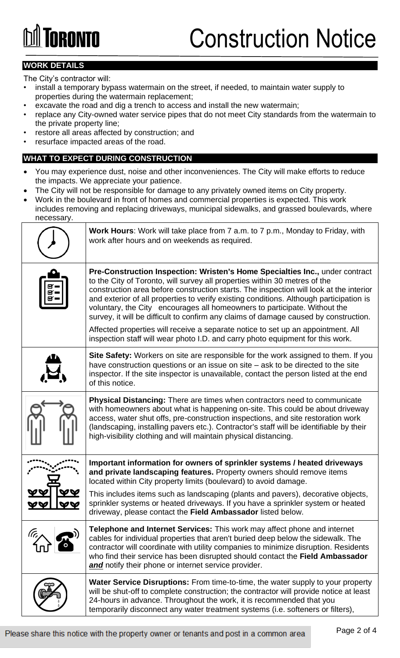### Construction Notice

### **WORK DETAILS**

The City's contractor will:

- install a temporary bypass watermain on the street, if needed, to maintain water supply to properties during the watermain replacement;
- excavate the road and dig a trench to access and install the new watermain;
- replace any City-owned water service pipes that do not meet City standards from the watermain to the private property line;
- restore all areas affected by construction; and
- resurface impacted areas of the road.

#### **WHAT TO EXPECT DURING CONSTRUCTION**

- You may experience dust, noise and other inconveniences. The City will make efforts to reduce the impacts. We appreciate your patience.
- The City will not be responsible for damage to any privately owned items on City property.
- Work in the boulevard in front of homes and commercial properties is expected. This work includes removing and replacing driveways, municipal sidewalks, and grassed boulevards, where necessary.

| <b>Work Hours:</b> Work will take place from 7 a.m. to 7 p.m., Monday to Friday, with<br>work after hours and on weekends as required.                                                                                                                                                                                                                                                                                                                                                                               |
|----------------------------------------------------------------------------------------------------------------------------------------------------------------------------------------------------------------------------------------------------------------------------------------------------------------------------------------------------------------------------------------------------------------------------------------------------------------------------------------------------------------------|
| Pre-Construction Inspection: Wristen's Home Specialties Inc., under contract<br>to the City of Toronto, will survey all properties within 30 metres of the<br>construction area before construction starts. The inspection will look at the interior<br>and exterior of all properties to verify existing conditions. Although participation is<br>voluntary, the City encourages all homeowners to participate. Without the<br>survey, it will be difficult to confirm any claims of damage caused by construction. |
| Affected properties will receive a separate notice to set up an appointment. All<br>inspection staff will wear photo I.D. and carry photo equipment for this work.                                                                                                                                                                                                                                                                                                                                                   |
| Site Safety: Workers on site are responsible for the work assigned to them. If you<br>have construction questions or an issue on site – ask to be directed to the site<br>inspector. If the site inspector is unavailable, contact the person listed at the end<br>of this notice.                                                                                                                                                                                                                                   |
| <b>Physical Distancing:</b> There are times when contractors need to communicate<br>with homeowners about what is happening on-site. This could be about driveway<br>access, water shut offs, pre-construction inspections, and site restoration work<br>(landscaping, installing pavers etc.). Contractor's staff will be identifiable by their<br>high-visibility clothing and will maintain physical distancing.                                                                                                  |
| Important information for owners of sprinkler systems / heated driveways<br>and private landscaping features. Property owners should remove items<br>located within City property limits (boulevard) to avoid damage.                                                                                                                                                                                                                                                                                                |
| This includes items such as landscaping (plants and pavers), decorative objects,<br>sprinkler systems or heated driveways. If you have a sprinkler system or heated<br>driveway, please contact the Field Ambassador listed below.                                                                                                                                                                                                                                                                                   |
| <b>Telephone and Internet Services:</b> This work may affect phone and internet<br>cables for individual properties that aren't buried deep below the sidewalk. The<br>contractor will coordinate with utility companies to minimize disruption. Residents<br>who find their service has been disrupted should contact the Field Ambassador<br>and notify their phone or internet service provider.                                                                                                                  |
| Water Service Disruptions: From time-to-time, the water supply to your property<br>will be shut-off to complete construction; the contractor will provide notice at least<br>24-hours in advance. Throughout the work, it is recommended that you<br>temporarily disconnect any water treatment systems (i.e. softeners or filters),                                                                                                                                                                                 |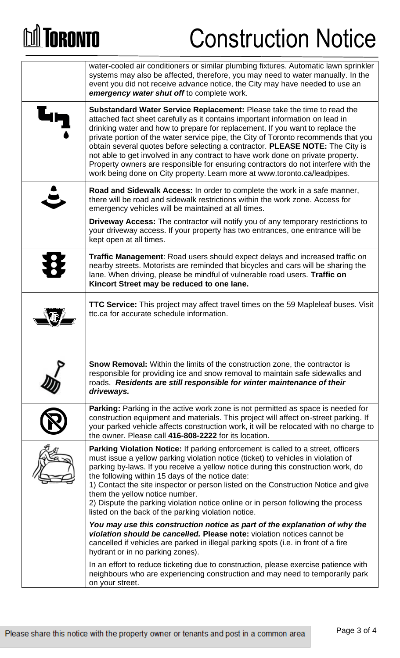# **M** TORONTO

## Construction Notice

| water-cooled air conditioners or similar plumbing fixtures. Automatic lawn sprinkler<br>systems may also be affected, therefore, you may need to water manually. In the<br>event you did not receive advance notice, the City may have needed to use an<br>emergency water shut off to complete work.                                                                                                                                                                                                                                                                                                                                                                  |
|------------------------------------------------------------------------------------------------------------------------------------------------------------------------------------------------------------------------------------------------------------------------------------------------------------------------------------------------------------------------------------------------------------------------------------------------------------------------------------------------------------------------------------------------------------------------------------------------------------------------------------------------------------------------|
| Substandard Water Service Replacement: Please take the time to read the<br>attached fact sheet carefully as it contains important information on lead in<br>drinking water and how to prepare for replacement. If you want to replace the<br>private portion-of the water service pipe, the City of Toronto recommends that you<br>obtain several quotes before selecting a contractor. PLEASE NOTE: The City is<br>not able to get involved in any contract to have work done on private property.<br>Property owners are responsible for ensuring contractors do not interfere with the<br>work being done on City property. Learn more at www.toronto.ca/leadpipes. |
| <b>Road and Sidewalk Access:</b> In order to complete the work in a safe manner,<br>there will be road and sidewalk restrictions within the work zone. Access for<br>emergency vehicles will be maintained at all times.                                                                                                                                                                                                                                                                                                                                                                                                                                               |
| <b>Driveway Access:</b> The contractor will notify you of any temporary restrictions to<br>your driveway access. If your property has two entrances, one entrance will be<br>kept open at all times.                                                                                                                                                                                                                                                                                                                                                                                                                                                                   |
| <b>Traffic Management:</b> Road users should expect delays and increased traffic on<br>nearby streets. Motorists are reminded that bicycles and cars will be sharing the<br>lane. When driving, please be mindful of vulnerable road users. Traffic on<br>Kincort Street may be reduced to one lane.                                                                                                                                                                                                                                                                                                                                                                   |
| <b>TTC Service:</b> This project may affect travel times on the 59 Mapleleaf buses. Visit<br>ttc.ca for accurate schedule information.                                                                                                                                                                                                                                                                                                                                                                                                                                                                                                                                 |
| <b>Snow Removal:</b> Within the limits of the construction zone, the contractor is<br>responsible for providing ice and snow removal to maintain safe sidewalks and<br>roads. Residents are still responsible for winter maintenance of their<br>driveways.                                                                                                                                                                                                                                                                                                                                                                                                            |
| Parking: Parking in the active work zone is not permitted as space is needed for<br>construction equipment and materials. This project will affect on-street parking. If<br>your parked vehicle affects construction work, it will be relocated with no charge to<br>the owner. Please call 416-808-2222 for its location.                                                                                                                                                                                                                                                                                                                                             |
| <b>Parking Violation Notice:</b> If parking enforcement is called to a street, officers<br>must issue a yellow parking violation notice (ticket) to vehicles in violation of<br>parking by-laws. If you receive a yellow notice during this construction work, do<br>the following within 15 days of the notice date:<br>1) Contact the site inspector or person listed on the Construction Notice and give<br>them the yellow notice number.<br>2) Dispute the parking violation notice online or in person following the process<br>listed on the back of the parking violation notice.                                                                              |
| You may use this construction notice as part of the explanation of why the<br>violation should be cancelled. Please note: violation notices cannot be<br>cancelled if vehicles are parked in illegal parking spots (i.e. in front of a fire<br>hydrant or in no parking zones).                                                                                                                                                                                                                                                                                                                                                                                        |
| In an effort to reduce ticketing due to construction, please exercise patience with<br>neighbours who are experiencing construction and may need to temporarily park<br>on your street.                                                                                                                                                                                                                                                                                                                                                                                                                                                                                |